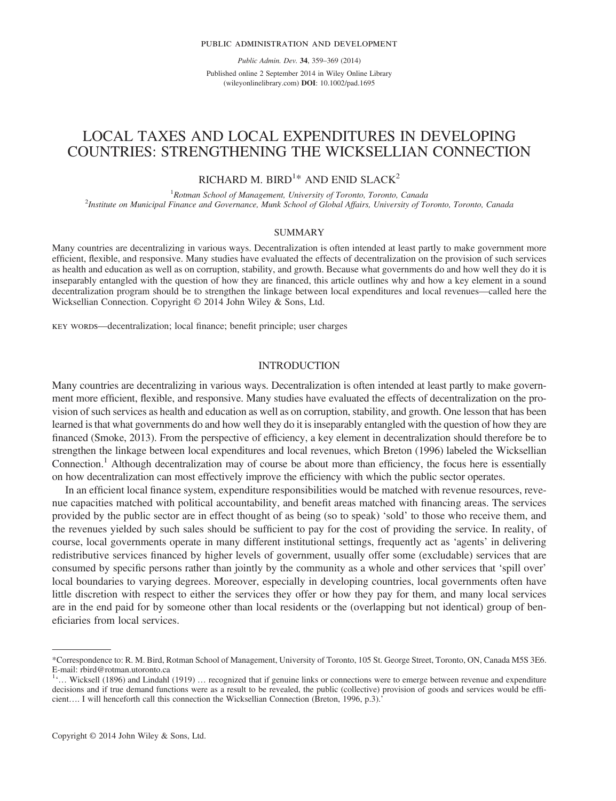### public administration and development

Public Admin. Dev. 34, 359–369 (2014)

Published online 2 September 2014 in Wiley Online Library (wileyonlinelibrary.com) DOI: 10.1002/pad.1695

# LOCAL TAXES AND LOCAL EXPENDITURES IN DEVELOPING COUNTRIES: STRENGTHENING THE WICKSELLIAN CONNECTION

RICHARD M. BIRD $^{1\ast}$  AND ENID SLACK $^{2}$ 

<sup>1</sup>Rotman School of Management, University of Toronto, Toronto, Canada <sup>2</sup>Institute on Municipal Flotman School of Management, University of Toronto, Toronto, Canada<br><sup>2</sup>Institute on Municipal Finance and Governance, Munk School of Global Affairs, University of Toronto, Toronto, Canada

### SUMMARY

Many countries are decentralizing in various ways. Decentralization is often intended at least partly to make government more efficient, flexible, and responsive. Many studies have evaluated the effects of decentralization on the provision of such services as health and education as well as on corruption, stability, and growth. Because what governments do and how well they do it is inseparably entangled with the question of how they are financed, this article outlines why and how a key element in a sound decentralization program should be to strengthen the linkage between local expenditures and local revenues—called here the Wicksellian Connection. Copyright © 2014 John Wiley & Sons, Ltd.

key words—decentralization; local finance; benefit principle; user charges

### INTRODUCTION

Many countries are decentralizing in various ways. Decentralization is often intended at least partly to make government more efficient, flexible, and responsive. Many studies have evaluated the effects of decentralization on the provision of such services as health and education as well as on corruption, stability, and growth. One lesson that has been learned is that what governments do and how well they do it is inseparably entangled with the question of how they are financed (Smoke, 2013). From the perspective of efficiency, a key element in decentralization should therefore be to strengthen the linkage between local expenditures and local revenues, which Breton (1996) labeled the Wicksellian Connection.1 Although decentralization may of course be about more than efficiency, the focus here is essentially on how decentralization can most effectively improve the efficiency with which the public sector operates.

In an efficient local finance system, expenditure responsibilities would be matched with revenue resources, revenue capacities matched with political accountability, and benefit areas matched with financing areas. The services provided by the public sector are in effect thought of as being (so to speak) 'sold' to those who receive them, and the revenues yielded by such sales should be sufficient to pay for the cost of providing the service. In reality, of course, local governments operate in many different institutional settings, frequently act as 'agents' in delivering redistributive services financed by higher levels of government, usually offer some (excludable) services that are consumed by specific persons rather than jointly by the community as a whole and other services that 'spill over' local boundaries to varying degrees. Moreover, especially in developing countries, local governments often have little discretion with respect to either the services they offer or how they pay for them, and many local services are in the end paid for by someone other than local residents or the (overlapping but not identical) group of beneficiaries from local services.

<sup>\*</sup>Correspondence to: R. M. Bird, Rotman School of Management, University of Toronto, 105 St. George Street, Toronto, ON, Canada M5S 3E6. E-mail: rbird@rotman.utoronto.ca

<sup>1</sup> ... Wicksell (1896) and Lindahl (1919) ... recognized that if genuine links or connections were to emerge between revenue and expenditure decisions and if true demand functions were as a result to be revealed, the public (collective) provision of goods and services would be efficient…. I will henceforth call this connection the Wicksellian Connection (Breton, 1996, p.3).'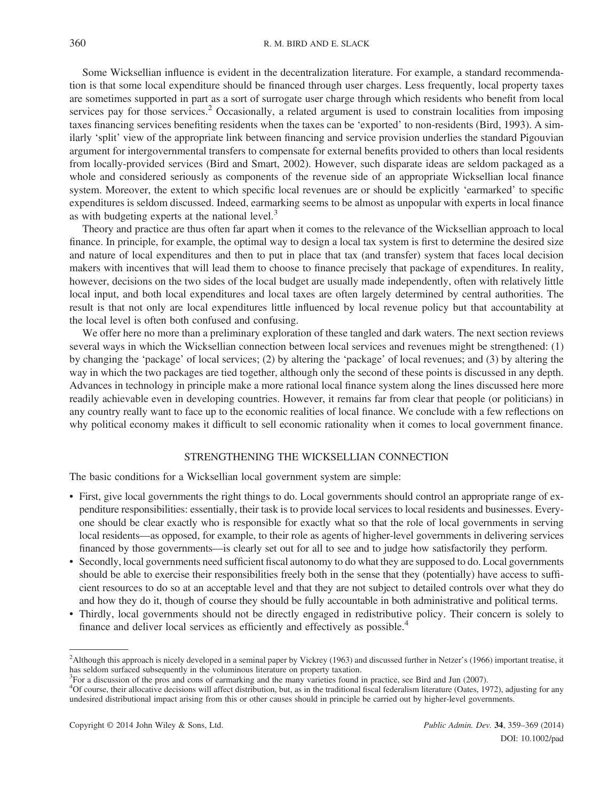Some Wicksellian influence is evident in the decentralization literature. For example, a standard recommendation is that some local expenditure should be financed through user charges. Less frequently, local property taxes are sometimes supported in part as a sort of surrogate user charge through which residents who benefit from local services pay for those services.<sup>2</sup> Occasionally, a related argument is used to constrain localities from imposing taxes financing services benefiting residents when the taxes can be 'exported' to non-residents (Bird, 1993). A similarly 'split' view of the appropriate link between financing and service provision underlies the standard Pigouvian argument for intergovernmental transfers to compensate for external benefits provided to others than local residents from locally-provided services (Bird and Smart, 2002). However, such disparate ideas are seldom packaged as a whole and considered seriously as components of the revenue side of an appropriate Wicksellian local finance system. Moreover, the extent to which specific local revenues are or should be explicitly 'earmarked' to specific expenditures is seldom discussed. Indeed, earmarking seems to be almost as unpopular with experts in local finance as with budgeting experts at the national level. $3$ 

Theory and practice are thus often far apart when it comes to the relevance of the Wicksellian approach to local finance. In principle, for example, the optimal way to design a local tax system is first to determine the desired size and nature of local expenditures and then to put in place that tax (and transfer) system that faces local decision makers with incentives that will lead them to choose to finance precisely that package of expenditures. In reality, however, decisions on the two sides of the local budget are usually made independently, often with relatively little local input, and both local expenditures and local taxes are often largely determined by central authorities. The result is that not only are local expenditures little influenced by local revenue policy but that accountability at the local level is often both confused and confusing.

We offer here no more than a preliminary exploration of these tangled and dark waters. The next section reviews several ways in which the Wicksellian connection between local services and revenues might be strengthened: (1) by changing the 'package' of local services; (2) by altering the 'package' of local revenues; and (3) by altering the way in which the two packages are tied together, although only the second of these points is discussed in any depth. Advances in technology in principle make a more rational local finance system along the lines discussed here more readily achievable even in developing countries. However, it remains far from clear that people (or politicians) in any country really want to face up to the economic realities of local finance. We conclude with a few reflections on why political economy makes it difficult to sell economic rationality when it comes to local government finance.

### STRENGTHENING THE WICKSELLIAN CONNECTION

The basic conditions for a Wicksellian local government system are simple:

- First, give local governments the right things to do. Local governments should control an appropriate range of expenditure responsibilities: essentially, their task is to provide local services to local residents and businesses. Everyone should be clear exactly who is responsible for exactly what so that the role of local governments in serving local residents—as opposed, for example, to their role as agents of higher-level governments in delivering services financed by those governments—is clearly set out for all to see and to judge how satisfactorily they perform.
- Secondly, local governments need sufficient fiscal autonomy to do what they are supposed to do. Local governments should be able to exercise their responsibilities freely both in the sense that they (potentially) have access to sufficient resources to do so at an acceptable level and that they are not subject to detailed controls over what they do and how they do it, though of course they should be fully accountable in both administrative and political terms.
- Thirdly, local governments should not be directly engaged in redistributive policy. Their concern is solely to finance and deliver local services as efficiently and effectively as possible.<sup>4</sup>

<sup>2</sup> Although this approach is nicely developed in a seminal paper by Vickrey (1963) and discussed further in Netzer's (1966) important treatise, it has seldom surfaced subsequently in the voluminous literature on property taxation.

<sup>3</sup> For a discussion of the pros and cons of earmarking and the many varieties found in practice, see Bird and Jun (2007).

<sup>4</sup> Of course, their allocative decisions will affect distribution, but, as in the traditional fiscal federalism literature (Oates, 1972), adjusting for any undesired distributional impact arising from this or other causes should in principle be carried out by higher-level governments.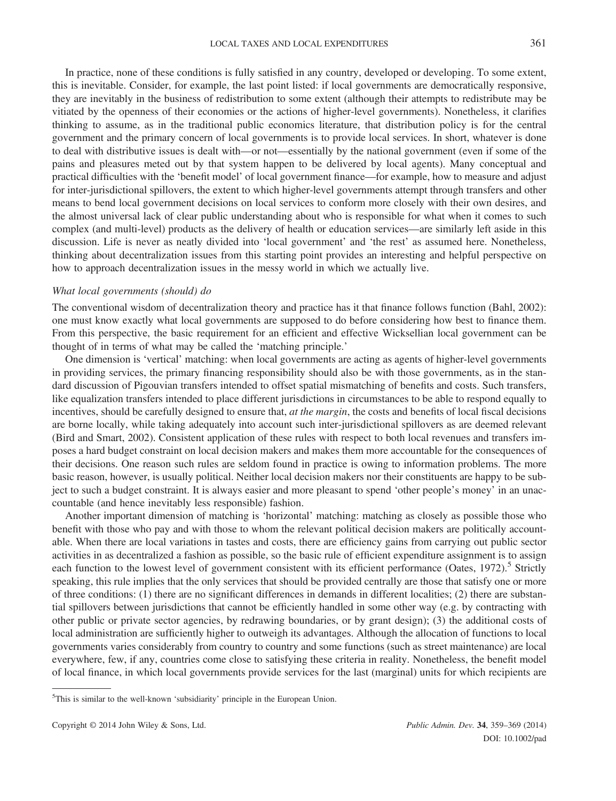In practice, none of these conditions is fully satisfied in any country, developed or developing. To some extent, this is inevitable. Consider, for example, the last point listed: if local governments are democratically responsive, they are inevitably in the business of redistribution to some extent (although their attempts to redistribute may be vitiated by the openness of their economies or the actions of higher-level governments). Nonetheless, it clarifies thinking to assume, as in the traditional public economics literature, that distribution policy is for the central government and the primary concern of local governments is to provide local services. In short, whatever is done to deal with distributive issues is dealt with—or not—essentially by the national government (even if some of the pains and pleasures meted out by that system happen to be delivered by local agents). Many conceptual and practical difficulties with the 'benefit model' of local government finance—for example, how to measure and adjust for inter-jurisdictional spillovers, the extent to which higher-level governments attempt through transfers and other means to bend local government decisions on local services to conform more closely with their own desires, and the almost universal lack of clear public understanding about who is responsible for what when it comes to such complex (and multi-level) products as the delivery of health or education services—are similarly left aside in this discussion. Life is never as neatly divided into 'local government' and 'the rest' as assumed here. Nonetheless, thinking about decentralization issues from this starting point provides an interesting and helpful perspective on how to approach decentralization issues in the messy world in which we actually live.

### What local governments (should) do

The conventional wisdom of decentralization theory and practice has it that finance follows function (Bahl, 2002): one must know exactly what local governments are supposed to do before considering how best to finance them. From this perspective, the basic requirement for an efficient and effective Wicksellian local government can be thought of in terms of what may be called the 'matching principle.'

One dimension is 'vertical' matching: when local governments are acting as agents of higher-level governments in providing services, the primary financing responsibility should also be with those governments, as in the standard discussion of Pigouvian transfers intended to offset spatial mismatching of benefits and costs. Such transfers, like equalization transfers intended to place different jurisdictions in circumstances to be able to respond equally to incentives, should be carefully designed to ensure that, at the margin, the costs and benefits of local fiscal decisions are borne locally, while taking adequately into account such inter-jurisdictional spillovers as are deemed relevant (Bird and Smart, 2002). Consistent application of these rules with respect to both local revenues and transfers imposes a hard budget constraint on local decision makers and makes them more accountable for the consequences of their decisions. One reason such rules are seldom found in practice is owing to information problems. The more basic reason, however, is usually political. Neither local decision makers nor their constituents are happy to be subject to such a budget constraint. It is always easier and more pleasant to spend 'other people's money' in an unaccountable (and hence inevitably less responsible) fashion.

Another important dimension of matching is 'horizontal' matching: matching as closely as possible those who benefit with those who pay and with those to whom the relevant political decision makers are politically accountable. When there are local variations in tastes and costs, there are efficiency gains from carrying out public sector activities in as decentralized a fashion as possible, so the basic rule of efficient expenditure assignment is to assign each function to the lowest level of government consistent with its efficient performance (Oates, 1972).<sup>5</sup> Strictly speaking, this rule implies that the only services that should be provided centrally are those that satisfy one or more of three conditions: (1) there are no significant differences in demands in different localities; (2) there are substantial spillovers between jurisdictions that cannot be efficiently handled in some other way (e.g. by contracting with other public or private sector agencies, by redrawing boundaries, or by grant design); (3) the additional costs of local administration are sufficiently higher to outweigh its advantages. Although the allocation of functions to local governments varies considerably from country to country and some functions (such as street maintenance) are local everywhere, few, if any, countries come close to satisfying these criteria in reality. Nonetheless, the benefit model of local finance, in which local governments provide services for the last (marginal) units for which recipients are

<sup>&</sup>lt;sup>5</sup>This is similar to the well-known 'subsidiarity' principle in the European Union.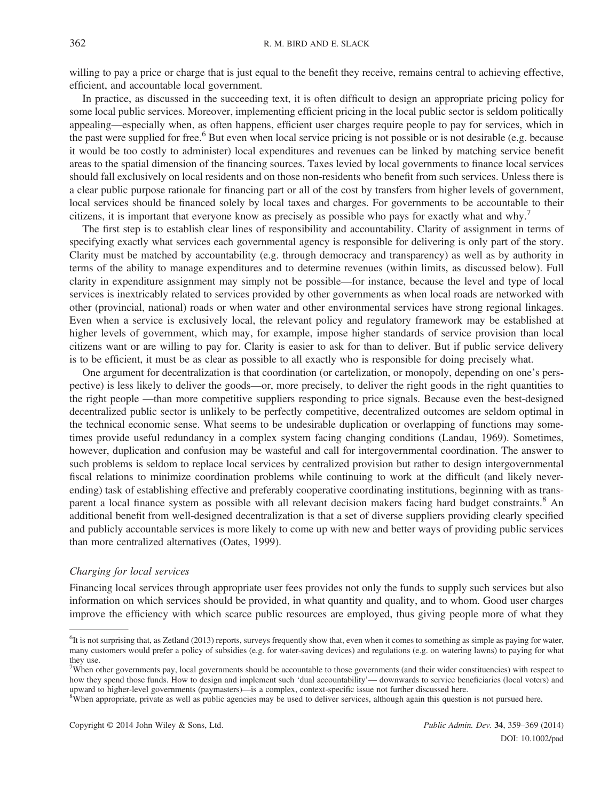willing to pay a price or charge that is just equal to the benefit they receive, remains central to achieving effective, efficient, and accountable local government.

In practice, as discussed in the succeeding text, it is often difficult to design an appropriate pricing policy for some local public services. Moreover, implementing efficient pricing in the local public sector is seldom politically appealing—especially when, as often happens, efficient user charges require people to pay for services, which in the past were supplied for free.<sup>6</sup> But even when local service pricing is not possible or is not desirable (e.g. because it would be too costly to administer) local expenditures and revenues can be linked by matching service benefit areas to the spatial dimension of the financing sources. Taxes levied by local governments to finance local services should fall exclusively on local residents and on those non-residents who benefit from such services. Unless there is a clear public purpose rationale for financing part or all of the cost by transfers from higher levels of government, local services should be financed solely by local taxes and charges. For governments to be accountable to their citizens, it is important that everyone know as precisely as possible who pays for exactly what and why.<sup>7</sup>

The first step is to establish clear lines of responsibility and accountability. Clarity of assignment in terms of specifying exactly what services each governmental agency is responsible for delivering is only part of the story. Clarity must be matched by accountability (e.g. through democracy and transparency) as well as by authority in terms of the ability to manage expenditures and to determine revenues (within limits, as discussed below). Full clarity in expenditure assignment may simply not be possible—for instance, because the level and type of local services is inextricably related to services provided by other governments as when local roads are networked with other (provincial, national) roads or when water and other environmental services have strong regional linkages. Even when a service is exclusively local, the relevant policy and regulatory framework may be established at higher levels of government, which may, for example, impose higher standards of service provision than local citizens want or are willing to pay for. Clarity is easier to ask for than to deliver. But if public service delivery is to be efficient, it must be as clear as possible to all exactly who is responsible for doing precisely what.

One argument for decentralization is that coordination (or cartelization, or monopoly, depending on one's perspective) is less likely to deliver the goods—or, more precisely, to deliver the right goods in the right quantities to the right people —than more competitive suppliers responding to price signals. Because even the best-designed decentralized public sector is unlikely to be perfectly competitive, decentralized outcomes are seldom optimal in the technical economic sense. What seems to be undesirable duplication or overlapping of functions may sometimes provide useful redundancy in a complex system facing changing conditions (Landau, 1969). Sometimes, however, duplication and confusion may be wasteful and call for intergovernmental coordination. The answer to such problems is seldom to replace local services by centralized provision but rather to design intergovernmental fiscal relations to minimize coordination problems while continuing to work at the difficult (and likely neverending) task of establishing effective and preferably cooperative coordinating institutions, beginning with as transparent a local finance system as possible with all relevant decision makers facing hard budget constraints.<sup>8</sup> An additional benefit from well-designed decentralization is that a set of diverse suppliers providing clearly specified and publicly accountable services is more likely to come up with new and better ways of providing public services than more centralized alternatives (Oates, 1999).

# Charging for local services

Financing local services through appropriate user fees provides not only the funds to supply such services but also information on which services should be provided, in what quantity and quality, and to whom. Good user charges improve the efficiency with which scarce public resources are employed, thus giving people more of what they

 ${}^{6}$ It is not surprising that, as Zetland (2013) reports, surveys frequently show that, even when it comes to something as simple as paying for water, many customers would prefer a policy of subsidies (e.g. for water-saving devices) and regulations (e.g. on watering lawns) to paying for what they use.

<sup>&</sup>lt;sup>7</sup>When other governments pay, local governments should be accountable to those governments (and their wider constituencies) with respect to how they spend those funds. How to design and implement such 'dual accountability'— downwards to service beneficiaries (local voters) and upward to higher-level governments (paymasters)—is a complex, context-specific issue not further discussed here. <sup>8</sup>

<sup>&</sup>lt;sup>8</sup>When appropriate, private as well as public agencies may be used to deliver services, although again this question is not pursued here.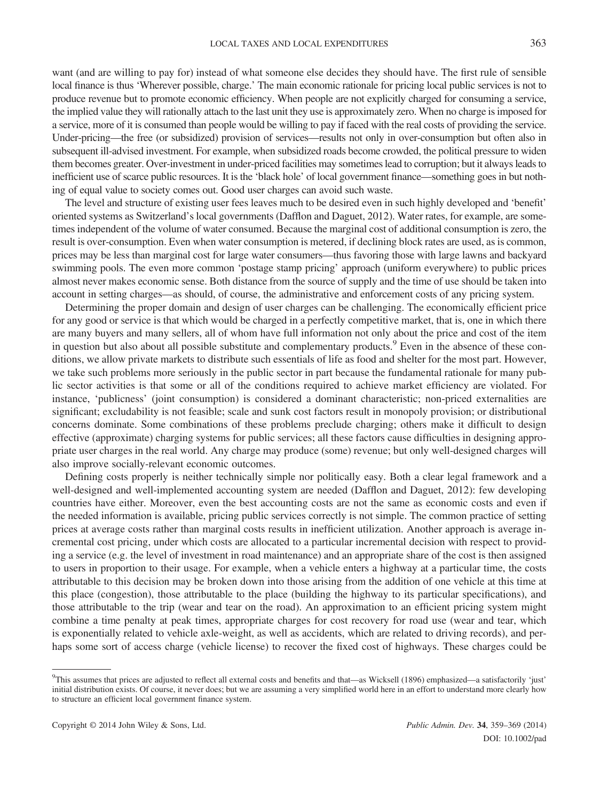want (and are willing to pay for) instead of what someone else decides they should have. The first rule of sensible local finance is thus 'Wherever possible, charge.' The main economic rationale for pricing local public services is not to produce revenue but to promote economic efficiency. When people are not explicitly charged for consuming a service, the implied value they will rationally attach to the last unit they use is approximately zero. When no charge is imposed for a service, more of it is consumed than people would be willing to pay if faced with the real costs of providing the service. Under-pricing—the free (or subsidized) provision of services—results not only in over-consumption but often also in subsequent ill-advised investment. For example, when subsidized roads become crowded, the political pressure to widen them becomes greater. Over-investment in under-priced facilities may sometimeslead to corruption; but it always leads to inefficient use of scarce public resources. It is the 'black hole' of local government finance—something goes in but nothing of equal value to society comes out. Good user charges can avoid such waste.

The level and structure of existing user fees leaves much to be desired even in such highly developed and 'benefit' oriented systems as Switzerland's local governments (Dafflon and Daguet, 2012). Water rates, for example, are sometimes independent of the volume of water consumed. Because the marginal cost of additional consumption is zero, the result is over-consumption. Even when water consumption is metered, if declining block rates are used, as is common, prices may be less than marginal cost for large water consumers—thus favoring those with large lawns and backyard swimming pools. The even more common 'postage stamp pricing' approach (uniform everywhere) to public prices almost never makes economic sense. Both distance from the source of supply and the time of use should be taken into account in setting charges—as should, of course, the administrative and enforcement costs of any pricing system.

Determining the proper domain and design of user charges can be challenging. The economically efficient price for any good or service is that which would be charged in a perfectly competitive market, that is, one in which there are many buyers and many sellers, all of whom have full information not only about the price and cost of the item in question but also about all possible substitute and complementary products.<sup>9</sup> Even in the absence of these conditions, we allow private markets to distribute such essentials of life as food and shelter for the most part. However, we take such problems more seriously in the public sector in part because the fundamental rationale for many public sector activities is that some or all of the conditions required to achieve market efficiency are violated. For instance, 'publicness' (joint consumption) is considered a dominant characteristic; non-priced externalities are significant; excludability is not feasible; scale and sunk cost factors result in monopoly provision; or distributional concerns dominate. Some combinations of these problems preclude charging; others make it difficult to design effective (approximate) charging systems for public services; all these factors cause difficulties in designing appropriate user charges in the real world. Any charge may produce (some) revenue; but only well-designed charges will also improve socially-relevant economic outcomes.

Defining costs properly is neither technically simple nor politically easy. Both a clear legal framework and a well-designed and well-implemented accounting system are needed (Dafflon and Daguet, 2012): few developing countries have either. Moreover, even the best accounting costs are not the same as economic costs and even if the needed information is available, pricing public services correctly is not simple. The common practice of setting prices at average costs rather than marginal costs results in inefficient utilization. Another approach is average incremental cost pricing, under which costs are allocated to a particular incremental decision with respect to providing a service (e.g. the level of investment in road maintenance) and an appropriate share of the cost is then assigned to users in proportion to their usage. For example, when a vehicle enters a highway at a particular time, the costs attributable to this decision may be broken down into those arising from the addition of one vehicle at this time at this place (congestion), those attributable to the place (building the highway to its particular specifications), and those attributable to the trip (wear and tear on the road). An approximation to an efficient pricing system might combine a time penalty at peak times, appropriate charges for cost recovery for road use (wear and tear, which is exponentially related to vehicle axle-weight, as well as accidents, which are related to driving records), and perhaps some sort of access charge (vehicle license) to recover the fixed cost of highways. These charges could be

<sup>9</sup> This assumes that prices are adjusted to reflect all external costs and benefits and that—as Wicksell (1896) emphasized—a satisfactorily 'just' initial distribution exists. Of course, it never does; but we are assuming a very simplified world here in an effort to understand more clearly how to structure an efficient local government finance system.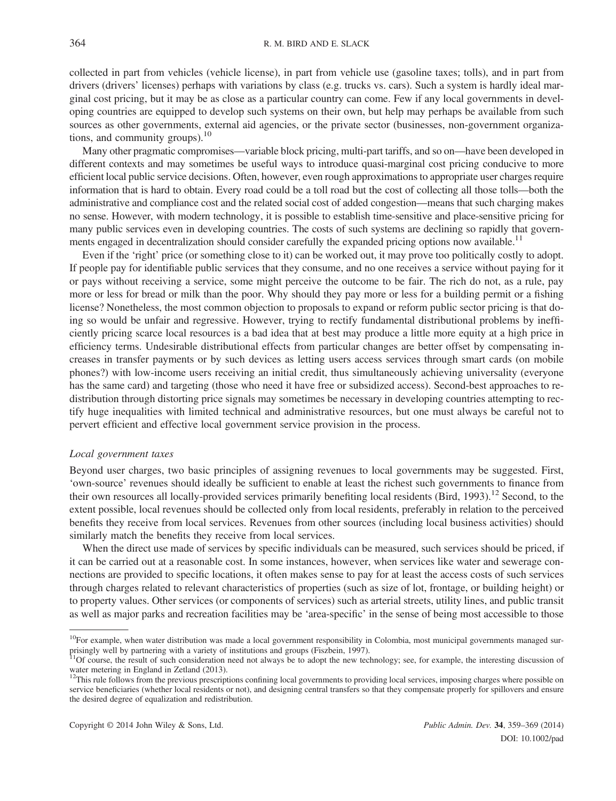collected in part from vehicles (vehicle license), in part from vehicle use (gasoline taxes; tolls), and in part from drivers (drivers' licenses) perhaps with variations by class (e.g. trucks vs. cars). Such a system is hardly ideal marginal cost pricing, but it may be as close as a particular country can come. Few if any local governments in developing countries are equipped to develop such systems on their own, but help may perhaps be available from such sources as other governments, external aid agencies, or the private sector (businesses, non-government organizations, and community groups). $10$ 

Many other pragmatic compromises—variable block pricing, multi-part tariffs, and so on—have been developed in different contexts and may sometimes be useful ways to introduce quasi-marginal cost pricing conducive to more efficient local public service decisions. Often, however, even rough approximations to appropriate user charges require information that is hard to obtain. Every road could be a toll road but the cost of collecting all those tolls—both the administrative and compliance cost and the related social cost of added congestion—means that such charging makes no sense. However, with modern technology, it is possible to establish time-sensitive and place-sensitive pricing for many public services even in developing countries. The costs of such systems are declining so rapidly that governments engaged in decentralization should consider carefully the expanded pricing options now available.<sup>11</sup>

Even if the 'right' price (or something close to it) can be worked out, it may prove too politically costly to adopt. If people pay for identifiable public services that they consume, and no one receives a service without paying for it or pays without receiving a service, some might perceive the outcome to be fair. The rich do not, as a rule, pay more or less for bread or milk than the poor. Why should they pay more or less for a building permit or a fishing license? Nonetheless, the most common objection to proposals to expand or reform public sector pricing is that doing so would be unfair and regressive. However, trying to rectify fundamental distributional problems by inefficiently pricing scarce local resources is a bad idea that at best may produce a little more equity at a high price in efficiency terms. Undesirable distributional effects from particular changes are better offset by compensating increases in transfer payments or by such devices as letting users access services through smart cards (on mobile phones?) with low-income users receiving an initial credit, thus simultaneously achieving universality (everyone has the same card) and targeting (those who need it have free or subsidized access). Second-best approaches to redistribution through distorting price signals may sometimes be necessary in developing countries attempting to rectify huge inequalities with limited technical and administrative resources, but one must always be careful not to pervert efficient and effective local government service provision in the process.

### Local government taxes

Beyond user charges, two basic principles of assigning revenues to local governments may be suggested. First, 'own-source' revenues should ideally be sufficient to enable at least the richest such governments to finance from their own resources all locally-provided services primarily benefiting local residents (Bird, 1993).<sup>12</sup> Second, to the extent possible, local revenues should be collected only from local residents, preferably in relation to the perceived benefits they receive from local services. Revenues from other sources (including local business activities) should similarly match the benefits they receive from local services.

When the direct use made of services by specific individuals can be measured, such services should be priced, if it can be carried out at a reasonable cost. In some instances, however, when services like water and sewerage connections are provided to specific locations, it often makes sense to pay for at least the access costs of such services through charges related to relevant characteristics of properties (such as size of lot, frontage, or building height) or to property values. Other services (or components of services) such as arterial streets, utility lines, and public transit as well as major parks and recreation facilities may be 'area-specific' in the sense of being most accessible to those

 $10$ For example, when water distribution was made a local government responsibility in Colombia, most municipal governments managed surprisingly well by partnering with a variety of institutions and groups (Fiszbein, 1997).<br><sup>11</sup>Of course, the result of such consideration need not always be to adopt the new technology; see, for example, the interesting dis

water metering in England in Zetland (2013).

<sup>&</sup>lt;sup>12</sup>This rule follows from the previous prescriptions confining local governments to providing local services, imposing charges where possible on service beneficiaries (whether local residents or not), and designing central transfers so that they compensate properly for spillovers and ensure the desired degree of equalization and redistribution.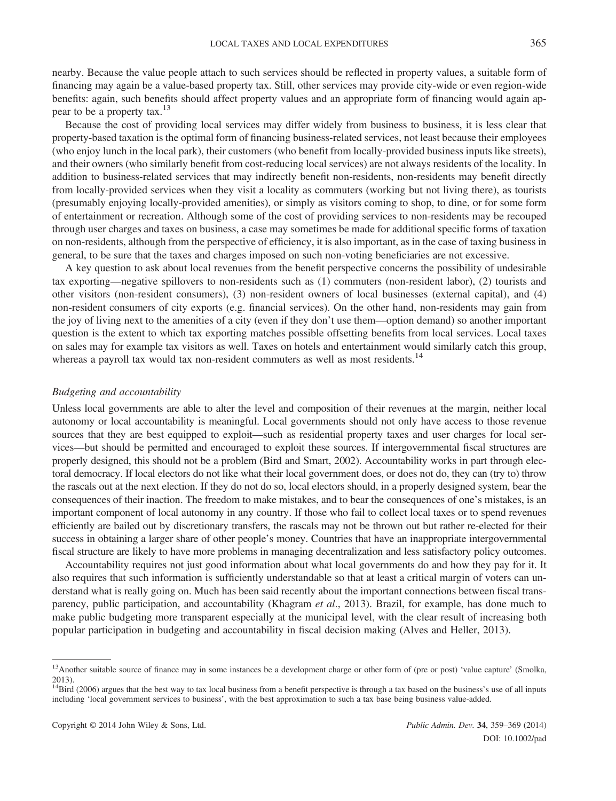nearby. Because the value people attach to such services should be reflected in property values, a suitable form of financing may again be a value-based property tax. Still, other services may provide city-wide or even region-wide benefits: again, such benefits should affect property values and an appropriate form of financing would again appear to be a property tax.<sup>13</sup>

Because the cost of providing local services may differ widely from business to business, it is less clear that property-based taxation is the optimal form of financing business-related services, not least because their employees (who enjoy lunch in the local park), their customers (who benefit from locally-provided business inputs like streets), and their owners (who similarly benefit from cost-reducing local services) are not always residents of the locality. In addition to business-related services that may indirectly benefit non-residents, non-residents may benefit directly from locally-provided services when they visit a locality as commuters (working but not living there), as tourists (presumably enjoying locally-provided amenities), or simply as visitors coming to shop, to dine, or for some form of entertainment or recreation. Although some of the cost of providing services to non-residents may be recouped through user charges and taxes on business, a case may sometimes be made for additional specific forms of taxation on non-residents, although from the perspective of efficiency, it is also important, as in the case of taxing business in general, to be sure that the taxes and charges imposed on such non-voting beneficiaries are not excessive.

A key question to ask about local revenues from the benefit perspective concerns the possibility of undesirable tax exporting—negative spillovers to non-residents such as (1) commuters (non-resident labor), (2) tourists and other visitors (non-resident consumers), (3) non-resident owners of local businesses (external capital), and (4) non-resident consumers of city exports (e.g. financial services). On the other hand, non-residents may gain from the joy of living next to the amenities of a city (even if they don't use them—option demand) so another important question is the extent to which tax exporting matches possible offsetting benefits from local services. Local taxes on sales may for example tax visitors as well. Taxes on hotels and entertainment would similarly catch this group, whereas a payroll tax would tax non-resident commuters as well as most residents.<sup>14</sup>

# Budgeting and accountability

Unless local governments are able to alter the level and composition of their revenues at the margin, neither local autonomy or local accountability is meaningful. Local governments should not only have access to those revenue sources that they are best equipped to exploit—such as residential property taxes and user charges for local services—but should be permitted and encouraged to exploit these sources. If intergovernmental fiscal structures are properly designed, this should not be a problem (Bird and Smart, 2002). Accountability works in part through electoral democracy. If local electors do not like what their local government does, or does not do, they can (try to) throw the rascals out at the next election. If they do not do so, local electors should, in a properly designed system, bear the consequences of their inaction. The freedom to make mistakes, and to bear the consequences of one's mistakes, is an important component of local autonomy in any country. If those who fail to collect local taxes or to spend revenues efficiently are bailed out by discretionary transfers, the rascals may not be thrown out but rather re-elected for their success in obtaining a larger share of other people's money. Countries that have an inappropriate intergovernmental fiscal structure are likely to have more problems in managing decentralization and less satisfactory policy outcomes.

Accountability requires not just good information about what local governments do and how they pay for it. It also requires that such information is sufficiently understandable so that at least a critical margin of voters can understand what is really going on. Much has been said recently about the important connections between fiscal transparency, public participation, and accountability (Khagram et al., 2013). Brazil, for example, has done much to make public budgeting more transparent especially at the municipal level, with the clear result of increasing both popular participation in budgeting and accountability in fiscal decision making (Alves and Heller, 2013).

<sup>&</sup>lt;sup>13</sup>Another suitable source of finance may in some instances be a development charge or other form of (pre or post) 'value capture' (Smolka,

<sup>2013).&</sup>lt;br><sup>14</sup>Bird (2006) argues that the best way to tax local business from a benefit perspective is through a tax based on the business's use of all inputs including 'local government services to business', with the best approximation to such a tax base being business value-added.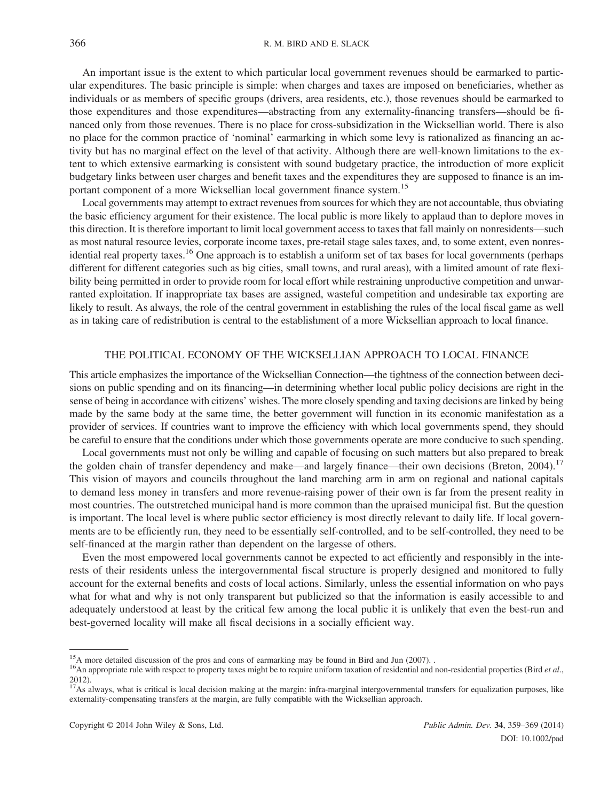An important issue is the extent to which particular local government revenues should be earmarked to particular expenditures. The basic principle is simple: when charges and taxes are imposed on beneficiaries, whether as individuals or as members of specific groups (drivers, area residents, etc.), those revenues should be earmarked to those expenditures and those expenditures—abstracting from any externality-financing transfers—should be financed only from those revenues. There is no place for cross-subsidization in the Wicksellian world. There is also no place for the common practice of 'nominal' earmarking in which some levy is rationalized as financing an activity but has no marginal effect on the level of that activity. Although there are well-known limitations to the extent to which extensive earmarking is consistent with sound budgetary practice, the introduction of more explicit budgetary links between user charges and benefit taxes and the expenditures they are supposed to finance is an important component of a more Wicksellian local government finance system.<sup>15</sup>

Local governments may attempt to extract revenues from sources for which they are not accountable, thus obviating the basic efficiency argument for their existence. The local public is more likely to applaud than to deplore moves in this direction. It is therefore important to limit local government access to taxes that fall mainly on nonresidents—such as most natural resource levies, corporate income taxes, pre-retail stage sales taxes, and, to some extent, even nonresidential real property taxes.<sup>16</sup> One approach is to establish a uniform set of tax bases for local governments (perhaps different for different categories such as big cities, small towns, and rural areas), with a limited amount of rate flexibility being permitted in order to provide room for local effort while restraining unproductive competition and unwarranted exploitation. If inappropriate tax bases are assigned, wasteful competition and undesirable tax exporting are likely to result. As always, the role of the central government in establishing the rules of the local fiscal game as well as in taking care of redistribution is central to the establishment of a more Wicksellian approach to local finance.

## THE POLITICAL ECONOMY OF THE WICKSELLIAN APPROACH TO LOCAL FINANCE

This article emphasizes the importance of the Wicksellian Connection—the tightness of the connection between decisions on public spending and on its financing—in determining whether local public policy decisions are right in the sense of being in accordance with citizens' wishes. The more closely spending and taxing decisions are linked by being made by the same body at the same time, the better government will function in its economic manifestation as a provider of services. If countries want to improve the efficiency with which local governments spend, they should be careful to ensure that the conditions under which those governments operate are more conducive to such spending.

Local governments must not only be willing and capable of focusing on such matters but also prepared to break the golden chain of transfer dependency and make—and largely finance—their own decisions (Breton, 2004).<sup>17</sup> This vision of mayors and councils throughout the land marching arm in arm on regional and national capitals to demand less money in transfers and more revenue-raising power of their own is far from the present reality in most countries. The outstretched municipal hand is more common than the upraised municipal fist. But the question is important. The local level is where public sector efficiency is most directly relevant to daily life. If local governments are to be efficiently run, they need to be essentially self-controlled, and to be self-controlled, they need to be self-financed at the margin rather than dependent on the largesse of others.

Even the most empowered local governments cannot be expected to act efficiently and responsibly in the interests of their residents unless the intergovernmental fiscal structure is properly designed and monitored to fully account for the external benefits and costs of local actions. Similarly, unless the essential information on who pays what for what and why is not only transparent but publicized so that the information is easily accessible to and adequately understood at least by the critical few among the local public it is unlikely that even the best-run and best-governed locality will make all fiscal decisions in a socially efficient way.

<sup>&</sup>lt;sup>15</sup>A more detailed discussion of the pros and cons of earmarking may be found in Bird and Jun (2007). .<br><sup>16</sup>An appropriate rule with respect to property taxes might be to require uniform taxation of residential and non-r 2012).<br><sup>17</sup>As always, what is critical is local decision making at the margin: infra-marginal intergovernmental transfers for equalization purposes, like

externality-compensating transfers at the margin, are fully compatible with the Wicksellian approach.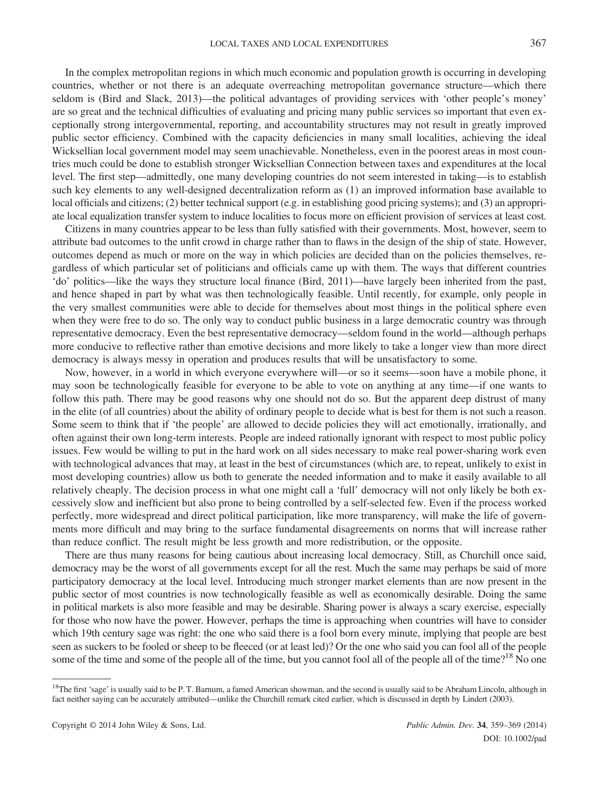In the complex metropolitan regions in which much economic and population growth is occurring in developing countries, whether or not there is an adequate overreaching metropolitan governance structure—which there seldom is (Bird and Slack, 2013)—the political advantages of providing services with 'other people's money' are so great and the technical difficulties of evaluating and pricing many public services so important that even exceptionally strong intergovernmental, reporting, and accountability structures may not result in greatly improved public sector efficiency. Combined with the capacity deficiencies in many small localities, achieving the ideal Wicksellian local government model may seem unachievable. Nonetheless, even in the poorest areas in most countries much could be done to establish stronger Wicksellian Connection between taxes and expenditures at the local level. The first step—admittedly, one many developing countries do not seem interested in taking—is to establish such key elements to any well-designed decentralization reform as (1) an improved information base available to local officials and citizens; (2) better technical support (e.g. in establishing good pricing systems); and (3) an appropriate local equalization transfer system to induce localities to focus more on efficient provision of services at least cost.

Citizens in many countries appear to be less than fully satisfied with their governments. Most, however, seem to attribute bad outcomes to the unfit crowd in charge rather than to flaws in the design of the ship of state. However, outcomes depend as much or more on the way in which policies are decided than on the policies themselves, regardless of which particular set of politicians and officials came up with them. The ways that different countries 'do' politics—like the ways they structure local finance (Bird, 2011)—have largely been inherited from the past, and hence shaped in part by what was then technologically feasible. Until recently, for example, only people in the very smallest communities were able to decide for themselves about most things in the political sphere even when they were free to do so. The only way to conduct public business in a large democratic country was through representative democracy. Even the best representative democracy—seldom found in the world—although perhaps more conducive to reflective rather than emotive decisions and more likely to take a longer view than more direct democracy is always messy in operation and produces results that will be unsatisfactory to some.

Now, however, in a world in which everyone everywhere will—or so it seems—soon have a mobile phone, it may soon be technologically feasible for everyone to be able to vote on anything at any time—if one wants to follow this path. There may be good reasons why one should not do so. But the apparent deep distrust of many in the elite (of all countries) about the ability of ordinary people to decide what is best for them is not such a reason. Some seem to think that if 'the people' are allowed to decide policies they will act emotionally, irrationally, and often against their own long-term interests. People are indeed rationally ignorant with respect to most public policy issues. Few would be willing to put in the hard work on all sides necessary to make real power-sharing work even with technological advances that may, at least in the best of circumstances (which are, to repeat, unlikely to exist in most developing countries) allow us both to generate the needed information and to make it easily available to all relatively cheaply. The decision process in what one might call a 'full' democracy will not only likely be both excessively slow and inefficient but also prone to being controlled by a self-selected few. Even if the process worked perfectly, more widespread and direct political participation, like more transparency, will make the life of governments more difficult and may bring to the surface fundamental disagreements on norms that will increase rather than reduce conflict. The result might be less growth and more redistribution, or the opposite.

There are thus many reasons for being cautious about increasing local democracy. Still, as Churchill once said, democracy may be the worst of all governments except for all the rest. Much the same may perhaps be said of more participatory democracy at the local level. Introducing much stronger market elements than are now present in the public sector of most countries is now technologically feasible as well as economically desirable. Doing the same in political markets is also more feasible and may be desirable. Sharing power is always a scary exercise, especially for those who now have the power. However, perhaps the time is approaching when countries will have to consider which 19th century sage was right: the one who said there is a fool born every minute, implying that people are best seen as suckers to be fooled or sheep to be fleeced (or at least led)? Or the one who said you can fool all of the people some of the time and some of the people all of the time, but you cannot fool all of the people all of the time?<sup>18</sup> No one

<sup>&</sup>lt;sup>18</sup>The first 'sage' is usually said to be P. T. Barnum, a famed American showman, and the second is usually said to be Abraham Lincoln, although in fact neither saying can be accurately attributed—unlike the Churchill remark cited earlier, which is discussed in depth by Lindert (2003).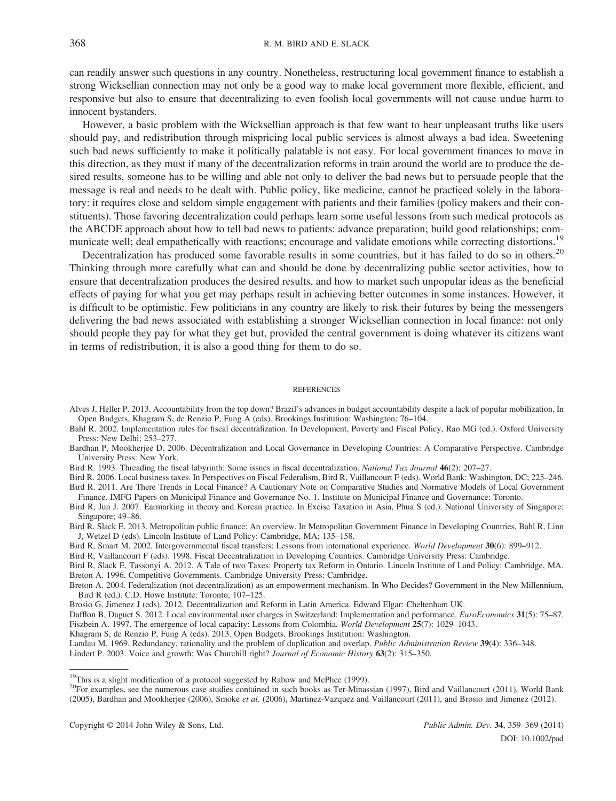can readily answer such questions in any country. Nonetheless, restructuring local government finance to establish a strong Wicksellian connection may not only be a good way to make local government more flexible, efficient, and responsive but also to ensure that decentralizing to even foolish local governments will not cause undue harm to innocent bystanders.

However, a basic problem with the Wicksellian approach is that few want to hear unpleasant truths like users should pay, and redistribution through mispricing local public services is almost always a bad idea. Sweetening such bad news sufficiently to make it politically palatable is not easy. For local government finances to move in this direction, as they must if many of the decentralization reforms in train around the world are to produce the desired results, someone has to be willing and able not only to deliver the bad news but to persuade people that the message is real and needs to be dealt with. Public policy, like medicine, cannot be practiced solely in the laboratory: it requires close and seldom simple engagement with patients and their families (policy makers and their constituents). Those favoring decentralization could perhaps learn some useful lessons from such medical protocols as the ABCDE approach about how to tell bad news to patients: advance preparation; build good relationships; communicate well; deal empathetically with reactions; encourage and validate emotions while correcting distortions.<sup>19</sup>

Decentralization has produced some favorable results in some countries, but it has failed to do so in others.<sup>20</sup> Thinking through more carefully what can and should be done by decentralizing public sector activities, how to ensure that decentralization produces the desired results, and how to market such unpopular ideas as the beneficial effects of paying for what you get may perhaps result in achieving better outcomes in some instances. However, it is difficult to be optimistic. Few politicians in any country are likely to risk their futures by being the messengers delivering the bad news associated with establishing a stronger Wicksellian connection in local finance: not only should people they pay for what they get but, provided the central government is doing whatever its citizens want in terms of redistribution, it is also a good thing for them to do so.

#### REFERENCES

- Alves J, Heller P. 2013. Accountability from the top down? Brazil's advances in budget accountability despite a lack of popular mobilization. In Open Budgets, Khagram S, de Renzio P, Fung A (eds). Brookings Institution: Washington; 76–104.
- Bahl R. 2002. Implementation rules for fiscal decentralization. In Development, Poverty and Fiscal Policy, Rao MG (ed.). Oxford University Press: New Delhi; 253–277.
- Bardhan P, Mookherjee D. 2006. Decentralization and Local Governance in Developing Countries: A Comparative Perspective. Cambridge University Press: New York.

Bird R. 1993. Threading the fiscal labyrinth: Some issues in fiscal decentralization. National Tax Journal 46(2): 207–27.

Bird R. 2006. Local business taxes. In Perspectives on Fiscal Federalism, Bird R, Vaillancourt F (eds). World Bank: Washington, DC; 225–246. Bird R. 2011. Are There Trends in Local Finance? A Cautionary Note on Comparative Studies and Normative Models of Local Government Finance. IMFG Papers on Municipal Finance and Governance No. 1. Institute on Municipal Finance and Governance: Toronto.

Bird R, Jun J. 2007. Earmarking in theory and Korean practice. In Excise Taxation in Asia, Phua S (ed.). National University of Singapore: Singapore; 49–86.

Bird R, Slack E. 2013. Metropolitan public finance: An overview. In Metropolitan Government Finance in Developing Countries, Bahl R, Linn J, Wetzel D (eds). Lincoln Institute of Land Policy: Cambridge, MA; 135–158.

Bird R, Smart M. 2002. Intergovernmental fiscal transfers: Lessons from international experience. World Development 30(6): 899-912.

Bird R, Vaillancourt F (eds). 1998. Fiscal Decentralization in Developing Countries. Cambridge University Press: Cambridge.

Bird R, Slack E, Tassonyi A. 2012. A Tale of two Taxes: Property tax Reform in Ontario. Lincoln Institute of Land Policy: Cambridge, MA. Breton A. 1996. Competitive Governments. Cambridge University Press: Cambridge.

Breton A. 2004. Federalization (not decentralization) as an empowerment mechanism. In Who Decides? Government in the New Millennium, Bird R (ed.). C.D. Howe Institute: Toronto; 107–125.

Brosio G, Jimenez J (eds). 2012. Decentralization and Reform in Latin America. Edward Elgar: Cheltenham UK.

Dafflon B, Daguet S. 2012. Local environmental user charges in Switzerland: Implementation and performance. EuroEconomics 31(5): 75-87. Fiszbein A. 1997. The emergence of local capacity: Lessons from Colombia. World Development 25(7): 1029–1043.

Khagram S, de Renzio P, Fung A (eds). 2013. Open Budgets. Brookings Institution: Washington.

Landau M. 1969. Redundancy, rationality and the problem of duplication and overlap. Public Administration Review 39(4): 336–348. Lindert P. 2003. Voice and growth: Was Churchill right? Journal of Economic History 63(2): 315–350.

<sup>&</sup>lt;sup>19</sup>This is a slight modification of a protocol suggested by Rabow and McPhee (1999).<br><sup>20</sup>For examples, see the numerous case studies contained in such books as Ter-Minassian (1997), Bird and Vaillancourt (2011), World Ba (2005), Bardhan and Mookherjee (2006), Smoke et al. (2006), Martinez-Vazquez and Vaillancourt (2011), and Brosio and Jimenez (2012).